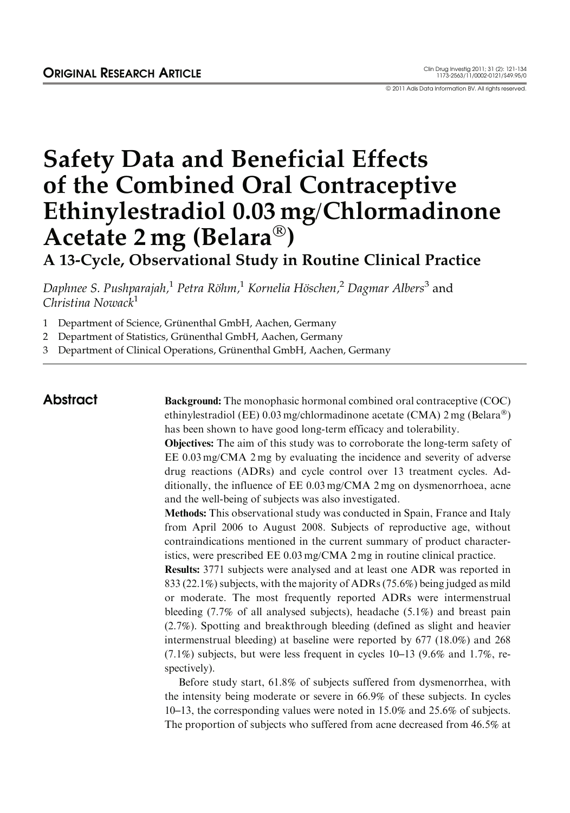© 2011 Adis Data Information BV. All rights reserved.

# Safety Data and Beneficial Effects of the Combined Oral Contraceptive Ethinylestradiol 0.03 mg/Chlormadinone Acetate 2 mg (Belara<sup>®</sup>)

A 13-Cycle, Observational Study in Routine Clinical Practice

Daphnee S. Pushparajah,<sup>1</sup> Petra Röhm,<sup>1</sup> Kornelia Höschen,<sup>2</sup> Dagmar Albers<sup>3</sup> and Christina Nowack<sup>1</sup><br>1 Department of Sci

- Department of Science, Grünenthal GmbH, Aachen, Germany
- 2 Department of Statistics, Grünenthal GmbH, Aachen, Germany
- 3 Department of Clinical Operations, Grünenthal GmbH, Aachen, Germany

Abstract Background: The monophasic hormonal combined oral contraceptive (COC) ethinylestradiol (EE) 0.03 mg/chlormadinone acetate (CMA) 2 mg (Belara®) has been shown to have good long-term efficacy and tolerability.

> Objectives: The aim of this study was to corroborate the long-term safety of EE 0.03 mg/CMA 2 mg by evaluating the incidence and severity of adverse drug reactions (ADRs) and cycle control over 13 treatment cycles. Additionally, the influence of EE 0.03 mg/CMA 2 mg on dysmenorrhoea, acne and the well-being of subjects was also investigated.

> Methods: This observational study was conducted in Spain, France and Italy from April 2006 to August 2008. Subjects of reproductive age, without contraindications mentioned in the current summary of product characteristics, were prescribed EE 0.03 mg/CMA 2 mg in routine clinical practice.

> Results: 3771 subjects were analysed and at least one ADR was reported in 833 (22.1%) subjects, with the majority of ADRs (75.6%) being judged as mild or moderate. The most frequently reported ADRs were intermenstrual bleeding (7.7% of all analysed subjects), headache (5.1%) and breast pain (2.7%). Spotting and breakthrough bleeding (defined as slight and heavier intermenstrual bleeding) at baseline were reported by 677 (18.0%) and 268 (7.1%) subjects, but were less frequent in cycles 10–13 (9.6% and 1.7%, respectively).

> Before study start, 61.8% of subjects suffered from dysmenorrhea, with the intensity being moderate or severe in 66.9% of these subjects. In cycles 10–13, the corresponding values were noted in 15.0% and 25.6% of subjects. The proportion of subjects who suffered from acne decreased from 46.5% at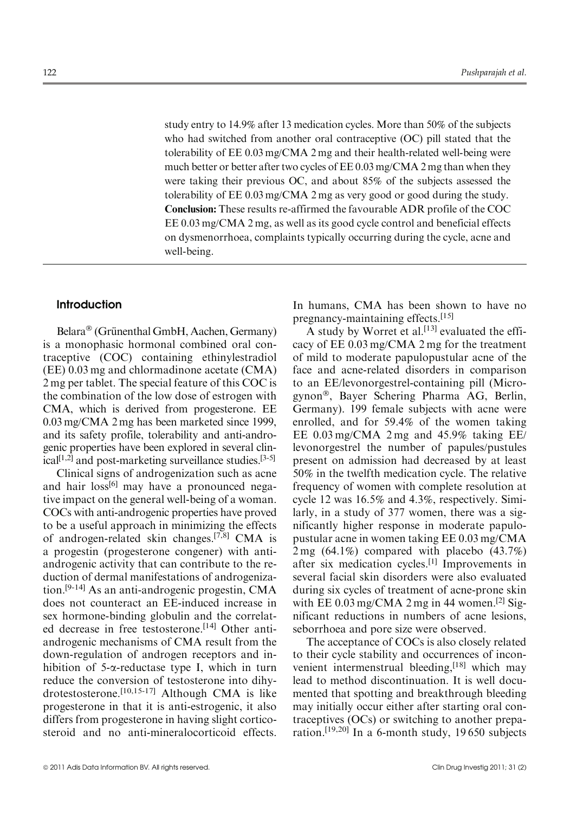study entry to 14.9% after 13 medication cycles. More than 50% of the subjects who had switched from another oral contraceptive (OC) pill stated that the tolerability of EE 0.03 mg/CMA 2 mg and their health-related well-being were much better or better after two cycles of EE 0.03 mg/CMA 2 mg than when they were taking their previous OC, and about 85% of the subjects assessed the tolerability of EE 0.03 mg/CMA 2 mg as very good or good during the study. Conclusion: These results re-affirmed the favourable ADR profile of the COC EE 0.03 mg/CMA 2 mg, as well as its good cycle control and beneficial effects on dysmenorrhoea, complaints typically occurring during the cycle, acne and well-being.

# Introduction

Belara® (Grünenthal GmbH, Aachen, Germany) is a monophasic hormonal combined oral contraceptive (COC) containing ethinylestradiol (EE) 0.03 mg and chlormadinone acetate (CMA) 2 mg per tablet. The special feature of this COC is the combination of the low dose of estrogen with CMA, which is derived from progesterone. EE 0.03 mg/CMA 2 mg has been marketed since 1999, and its safety profile, tolerability and anti-androgenic properties have been explored in several clinical $[1,2]$  and post-marketing surveillance studies.  $[3-5]$ 

Clinical signs of androgenization such as acne and hair loss<sup>[6]</sup> may have a pronounced negative impact on the general well-being of a woman. COCs with anti-androgenic properties have proved to be a useful approach in minimizing the effects of androgen-related skin changes.[7,8] CMA is a progestin (progesterone congener) with antiandrogenic activity that can contribute to the reduction of dermal manifestations of androgenization.[9-14] As an anti-androgenic progestin, CMA does not counteract an EE-induced increase in sex hormone-binding globulin and the correlated decrease in free testosterone.<sup>[14]</sup> Other antiandrogenic mechanisms of CMA result from the down-regulation of androgen receptors and inhibition of  $5$ - $\alpha$ -reductase type I, which in turn reduce the conversion of testosterone into dihydrotestosterone.[10,15-17] Although CMA is like progesterone in that it is anti-estrogenic, it also differs from progesterone in having slight corticosteroid and no anti-mineralocorticoid effects. In humans, CMA has been shown to have no pregnancy-maintaining effects.[15]

A study by Worret et al.<sup>[13]</sup> evaluated the efficacy of EE 0.03 mg/CMA 2 mg for the treatment of mild to moderate papulopustular acne of the face and acne-related disorders in comparison to an EE/levonorgestrel-containing pill (Microgynon®, Bayer Schering Pharma AG, Berlin, Germany). 199 female subjects with acne were enrolled, and for 59.4% of the women taking EE 0.03 mg/CMA 2 mg and 45.9% taking EE/ levonorgestrel the number of papules/pustules present on admission had decreased by at least 50% in the twelfth medication cycle. The relative frequency of women with complete resolution at cycle 12 was 16.5% and 4.3%, respectively. Similarly, in a study of 377 women, there was a significantly higher response in moderate papulopustular acne in women taking EE 0.03 mg/CMA 2 mg (64.1%) compared with placebo (43.7%) after six medication cycles.[1] Improvements in several facial skin disorders were also evaluated during six cycles of treatment of acne-prone skin with EE  $0.03 \text{ mg/CMA}$  2 mg in 44 women.<sup>[2]</sup> Significant reductions in numbers of acne lesions, seborrhoea and pore size were observed.

The acceptance of COCs is also closely related to their cycle stability and occurrences of inconvenient intermenstrual bleeding,<sup>[18]</sup> which may lead to method discontinuation. It is well documented that spotting and breakthrough bleeding may initially occur either after starting oral contraceptives (OCs) or switching to another preparation.[19,20] In a 6-month study, 19 650 subjects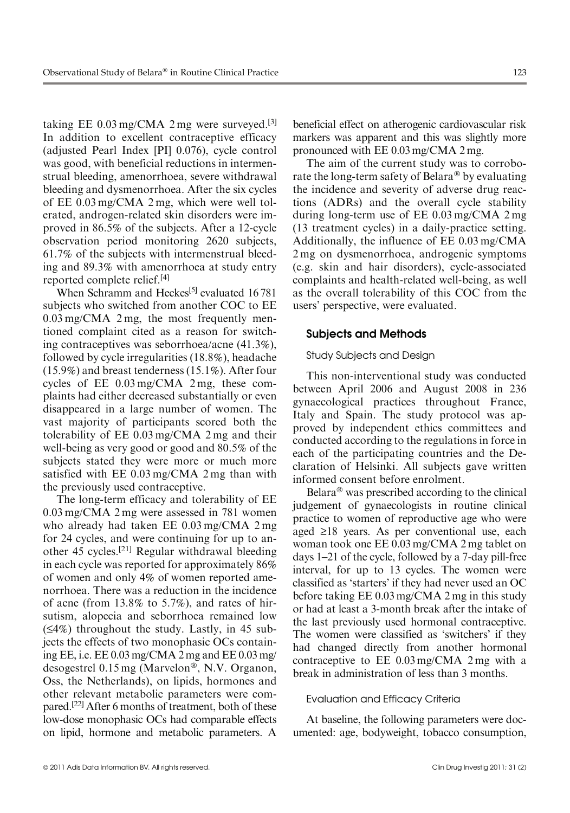taking EE  $0.03 \text{ mg}/\text{CMA}$  2 mg were surveyed.<sup>[3]</sup> In addition to excellent contraceptive efficacy (adjusted Pearl Index [PI] 0.076), cycle control was good, with beneficial reductions in intermenstrual bleeding, amenorrhoea, severe withdrawal bleeding and dysmenorrhoea. After the six cycles of EE 0.03 mg/CMA 2 mg, which were well tolerated, androgen-related skin disorders were improved in 86.5% of the subjects. After a 12-cycle observation period monitoring 2620 subjects, 61.7% of the subjects with intermenstrual bleeding and 89.3% with amenorrhoea at study entry reported complete relief.[4]

When Schramm and Heckes<sup>[5]</sup> evaluated 16781 subjects who switched from another COC to EE 0.03 mg/CMA 2 mg, the most frequently mentioned complaint cited as a reason for switching contraceptives was seborrhoea/acne (41.3%), followed by cycle irregularities (18.8%), headache (15.9%) and breast tenderness (15.1%). After four cycles of EE 0.03 mg/CMA 2 mg, these complaints had either decreased substantially or even disappeared in a large number of women. The vast majority of participants scored both the tolerability of EE 0.03 mg/CMA 2 mg and their well-being as very good or good and 80.5% of the subjects stated they were more or much more satisfied with EE 0.03 mg/CMA 2 mg than with the previously used contraceptive.

The long-term efficacy and tolerability of EE 0.03 mg/CMA 2 mg were assessed in 781 women who already had taken EE 0.03 mg/CMA 2 mg for 24 cycles, and were continuing for up to another 45 cycles.[21] Regular withdrawal bleeding in each cycle was reported for approximately 86% of women and only 4% of women reported amenorrhoea. There was a reduction in the incidence of acne (from 13.8% to 5.7%), and rates of hirsutism, alopecia and seborrhoea remained low  $(54%)$  throughout the study. Lastly, in 45 subjects the effects of two monophasic OCs containing EE, i.e. EE 0.03 mg/CMA 2 mg and EE 0.03 mg/ desogestrel 0.15 mg (Marvelon®, N.V. Organon, Oss, the Netherlands), on lipids, hormones and other relevant metabolic parameters were compared.[22] After 6 months of treatment, both of these low-dose monophasic OCs had comparable effects on lipid, hormone and metabolic parameters. A beneficial effect on atherogenic cardiovascular risk markers was apparent and this was slightly more pronounced with EE 0.03 mg/CMA 2 mg.

The aim of the current study was to corroborate the long-term safety of Belara® by evaluating the incidence and severity of adverse drug reactions (ADRs) and the overall cycle stability during long-term use of EE 0.03 mg/CMA 2 mg (13 treatment cycles) in a daily-practice setting. Additionally, the influence of EE 0.03 mg/CMA 2 mg on dysmenorrhoea, androgenic symptoms (e.g. skin and hair disorders), cycle-associated complaints and health-related well-being, as well as the overall tolerability of this COC from the users' perspective, were evaluated.

# Subjects and Methods

# Study Subjects and Design

This non-interventional study was conducted between April 2006 and August 2008 in 236 gynaecological practices throughout France, Italy and Spain. The study protocol was approved by independent ethics committees and conducted according to the regulations in force in each of the participating countries and the Declaration of Helsinki. All subjects gave written informed consent before enrolment.

Belara® was prescribed according to the clinical judgement of gynaecologists in routine clinical practice to women of reproductive age who were aged  $\geq 18$  years. As per conventional use, each woman took one EE 0.03 mg/CMA 2 mg tablet on days 1–21 of the cycle, followed by a 7-day pill-free interval, for up to 13 cycles. The women were classified as 'starters' if they had never used an OC before taking EE 0.03 mg/CMA 2 mg in this study or had at least a 3-month break after the intake of the last previously used hormonal contraceptive. The women were classified as 'switchers' if they had changed directly from another hormonal contraceptive to EE 0.03 mg/CMA 2 mg with a break in administration of less than 3 months.

# Evaluation and Efficacy Criteria

At baseline, the following parameters were documented: age, bodyweight, tobacco consumption,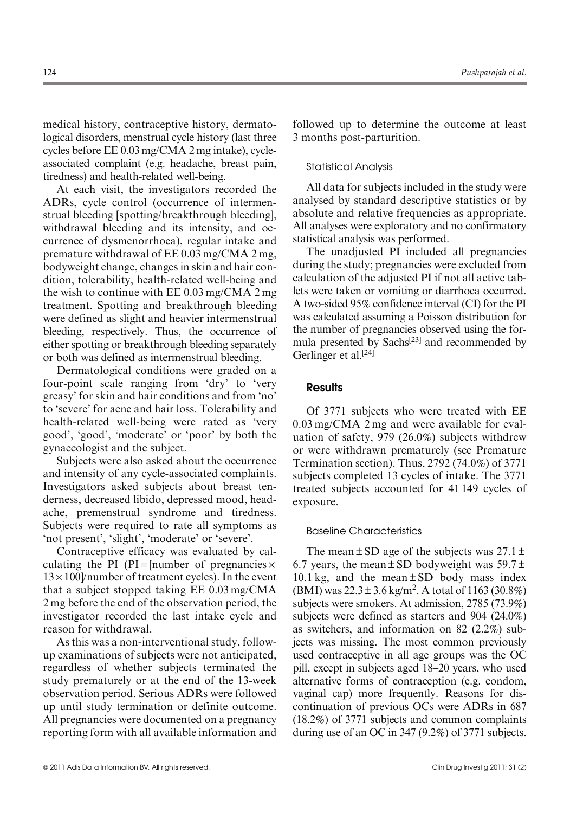medical history, contraceptive history, dermatological disorders, menstrual cycle history (last three cycles before EE 0.03 mg/CMA 2 mg intake), cycleassociated complaint (e.g. headache, breast pain, tiredness) and health-related well-being.

At each visit, the investigators recorded the ADRs, cycle control (occurrence of intermenstrual bleeding [spotting/breakthrough bleeding], withdrawal bleeding and its intensity, and occurrence of dysmenorrhoea), regular intake and premature withdrawal of EE 0.03 mg/CMA 2 mg, bodyweight change, changes in skin and hair condition, tolerability, health-related well-being and the wish to continue with EE 0.03 mg/CMA 2 mg treatment. Spotting and breakthrough bleeding were defined as slight and heavier intermenstrual bleeding, respectively. Thus, the occurrence of either spotting or breakthrough bleeding separately or both was defined as intermenstrual bleeding.

Dermatological conditions were graded on a four-point scale ranging from 'dry' to 'very greasy' for skin and hair conditions and from 'no' to 'severe' for acne and hair loss. Tolerability and health-related well-being were rated as 'very good', 'good', 'moderate' or 'poor' by both the gynaecologist and the subject.

Subjects were also asked about the occurrence and intensity of any cycle-associated complaints. Investigators asked subjects about breast tenderness, decreased libido, depressed mood, headache, premenstrual syndrome and tiredness. Subjects were required to rate all symptoms as 'not present', 'slight', 'moderate' or 'severe'.

Contraceptive efficacy was evaluated by calculating the PI (PI = [number of pregnancies  $\times$  $13 \times 100$ /number of treatment cycles). In the event that a subject stopped taking EE 0.03 mg/CMA 2 mg before the end of the observation period, the investigator recorded the last intake cycle and reason for withdrawal.

As this was a non-interventional study, followup examinations of subjects were not anticipated, regardless of whether subjects terminated the study prematurely or at the end of the 13-week observation period. Serious ADRs were followed up until study termination or definite outcome. All pregnancies were documented on a pregnancy reporting form with all available information and followed up to determine the outcome at least 3 months post-parturition.

#### Statistical Analysis

All data for subjects included in the study were analysed by standard descriptive statistics or by absolute and relative frequencies as appropriate. All analyses were exploratory and no confirmatory statistical analysis was performed.

The unadjusted PI included all pregnancies during the study; pregnancies were excluded from calculation of the adjusted PI if not all active tablets were taken or vomiting or diarrhoea occurred. A two-sided 95% confidence interval (CI) for the PI was calculated assuming a Poisson distribution for the number of pregnancies observed using the formula presented by Sachs $[23]$  and recommended by Gerlinger et al.<sup>[24]</sup>

# **Results**

Of 3771 subjects who were treated with EE 0.03 mg/CMA 2 mg and were available for evaluation of safety, 979 (26.0%) subjects withdrew or were withdrawn prematurely (see Premature Termination section). Thus, 2792 (74.0%) of 3771 subjects completed 13 cycles of intake. The 3771 treated subjects accounted for 41 149 cycles of exposure.

#### Baseline Characteristics

The mean  $\pm$  SD age of the subjects was 27.1  $\pm$ 6.7 years, the mean  $\pm$  SD bodyweight was 59.7 $\pm$ 10.1 kg, and the mean  $\pm$  SD body mass index  $(BMI)$  was  $22.3 \pm 3.6$  kg/m<sup>2</sup>. A total of 1163 (30.8%) subjects were smokers. At admission, 2785 (73.9%) subjects were defined as starters and 904 (24.0%) as switchers, and information on 82 (2.2%) subjects was missing. The most common previously used contraceptive in all age groups was the OC pill, except in subjects aged 18–20 years, who used alternative forms of contraception (e.g. condom, vaginal cap) more frequently. Reasons for discontinuation of previous OCs were ADRs in 687 (18.2%) of 3771 subjects and common complaints during use of an OC in 347 (9.2%) of 3771 subjects.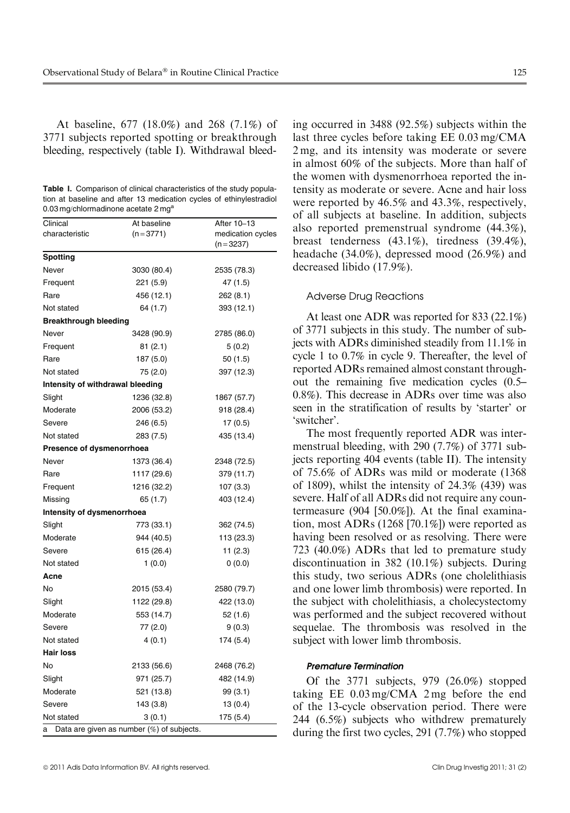At baseline, 677 (18.0%) and 268 (7.1%) of 3771 subjects reported spotting or breakthrough bleeding, respectively (table I). Withdrawal bleed-

Table I. Comparison of clinical characteristics of the study population at baseline and after 13 medication cycles of ethinylestradiol 0.03 mg/chlormadinone acetate 2 mg<sup>a</sup>

| Clinical<br>characteristic       | At baseline<br>$(n=3771)$                 | After 10-13<br>medication cycles |  |  |
|----------------------------------|-------------------------------------------|----------------------------------|--|--|
|                                  |                                           | $(n=3237)$                       |  |  |
| Spotting                         |                                           |                                  |  |  |
| Never                            | 3030 (80.4)                               | 2535 (78.3)                      |  |  |
| Frequent                         | 221 (5.9)                                 | 47 (1.5)                         |  |  |
| Rare                             | 456 (12.1)                                | 262 (8.1)                        |  |  |
| Not stated                       | 64 (1.7)                                  | 393 (12.1)                       |  |  |
| <b>Breakthrough bleeding</b>     |                                           |                                  |  |  |
| Never                            | 3428 (90.9)                               | 2785 (86.0)                      |  |  |
| Frequent                         | 81(2.1)                                   | 5(0.2)                           |  |  |
| Rare                             | 187 (5.0)                                 | 50 (1.5)                         |  |  |
| Not stated                       | 75 (2.0)                                  | 397 (12.3)                       |  |  |
| Intensity of withdrawal bleeding |                                           |                                  |  |  |
| Slight                           | 1236 (32.8)                               | 1867 (57.7)                      |  |  |
| Moderate                         | 2006 (53.2)                               | 918 (28.4)                       |  |  |
| Severe                           | 246 (6.5)                                 | 17 (0.5)                         |  |  |
| Not stated                       | 283 (7.5)                                 | 435 (13.4)                       |  |  |
| Presence of dysmenorrhoea        |                                           |                                  |  |  |
| Never                            | 1373 (36.4)                               | 2348 (72.5)                      |  |  |
| Rare                             | 1117 (29.6)                               | 379 (11.7)                       |  |  |
| Frequent                         | 1216 (32.2)                               | 107(3.3)                         |  |  |
| Missing                          | 65 (1.7)                                  | 403 (12.4)                       |  |  |
| Intensity of dysmenorrhoea       |                                           |                                  |  |  |
| Slight                           | 773 (33.1)                                | 362 (74.5)                       |  |  |
| Moderate                         | 944 (40.5)                                | 113 (23.3)                       |  |  |
| Severe                           | 615 (26.4)                                | 11 (2.3)                         |  |  |
| Not stated                       | 1(0.0)                                    | 0(0.0)                           |  |  |
| Acne                             |                                           |                                  |  |  |
| No                               | 2015 (53.4)                               | 2580 (79.7)                      |  |  |
| Slight                           | 1122 (29.8)                               | 422 (13.0)                       |  |  |
| Moderate                         | 553 (14.7)                                | 52 (1.6)                         |  |  |
| Severe                           | 77 (2.0)                                  | 9(0.3)                           |  |  |
| Not stated                       | 4(0.1)                                    | 174 (5.4)                        |  |  |
| Hair Ioss                        |                                           |                                  |  |  |
| No                               | 2133 (56.6)                               | 2468 (76.2)                      |  |  |
| Slight                           | 971 (25.7)                                | 482 (14.9)                       |  |  |
| Moderate                         | 521 (13.8)                                | 99 (3.1)                         |  |  |
| Severe                           | 143 (3.8)                                 | 13(0.4)                          |  |  |
| Not stated                       | 3(0.1)                                    | 175 (5.4)                        |  |  |
| a                                | Data are given as number (%) of subjects. |                                  |  |  |

© 2011 Adis Data Information BV. All rights reserved. Clin Drug Investig 2011; 31 (2)

ing occurred in 3488 (92.5%) subjects within the last three cycles before taking EE 0.03 mg/CMA 2 mg, and its intensity was moderate or severe in almost 60% of the subjects. More than half of the women with dysmenorrhoea reported the intensity as moderate or severe. Acne and hair loss were reported by 46.5% and 43.3%, respectively, of all subjects at baseline. In addition, subjects also reported premenstrual syndrome (44.3%), breast tenderness (43.1%), tiredness (39.4%), headache (34.0%), depressed mood (26.9%) and decreased libido (17.9%).

#### Adverse Drug Reactions

At least one ADR was reported for 833 (22.1%) of 3771 subjects in this study. The number of subjects with ADRs diminished steadily from 11.1% in cycle 1 to 0.7% in cycle 9. Thereafter, the level of reported ADRs remained almost constant throughout the remaining five medication cycles (0.5– 0.8%). This decrease in ADRs over time was also seen in the stratification of results by 'starter' or 'switcher'.

The most frequently reported ADR was intermenstrual bleeding, with 290 (7.7%) of 3771 subjects reporting 404 events (table II). The intensity of 75.6% of ADRs was mild or moderate (1368 of 1809), whilst the intensity of 24.3% (439) was severe. Half of all ADRs did not require any countermeasure (904 [50.0%]). At the final examination, most ADRs (1268 [70.1%]) were reported as having been resolved or as resolving. There were 723 (40.0%) ADRs that led to premature study discontinuation in 382 (10.1%) subjects. During this study, two serious ADRs (one cholelithiasis and one lower limb thrombosis) were reported. In the subject with cholelithiasis, a cholecystectomy was performed and the subject recovered without sequelae. The thrombosis was resolved in the subject with lower limb thrombosis.

#### Premature Termination

Of the 3771 subjects, 979 (26.0%) stopped taking EE 0.03 mg/CMA 2 mg before the end of the 13-cycle observation period. There were 244 (6.5%) subjects who withdrew prematurely during the first two cycles, 291 (7.7%) who stopped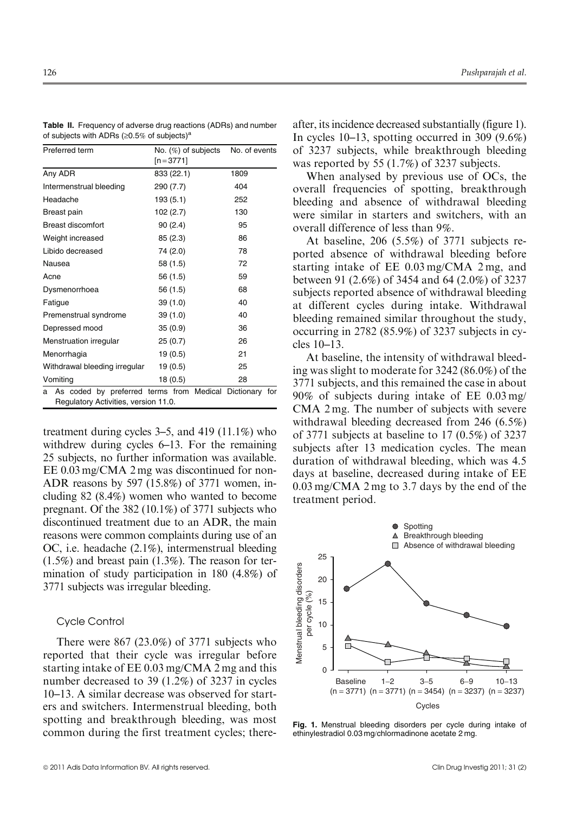| Preferred term                                                                                       | No. (%) of subjects<br>$[n=3771]$ | No. of events |
|------------------------------------------------------------------------------------------------------|-----------------------------------|---------------|
| Any ADR                                                                                              | 833 (22.1)                        | 1809          |
| Intermenstrual bleeding                                                                              | 290 (7.7)                         | 404           |
| Headache                                                                                             | 193(5.1)                          | 252           |
| Breast pain                                                                                          | 102 (2.7)                         | 130           |
| Breast discomfort                                                                                    | 90(2.4)                           | 95            |
| Weight increased                                                                                     | 85(2.3)                           | 86            |
| Libido decreased                                                                                     | 74 (2.0)                          | 78            |
| Nausea                                                                                               | 58 (1.5)                          | 72            |
| Acne                                                                                                 | 56 (1.5)                          | 59            |
| Dysmenorrhoea                                                                                        | 56 (1.5)                          | 68            |
| Fatigue                                                                                              | 39(1.0)                           | 40            |
| Premenstrual syndrome                                                                                | 39(1.0)                           | 40            |
| Depressed mood                                                                                       | 35(0.9)                           | 36            |
| Menstruation irregular                                                                               | 25(0.7)                           | 26            |
| Menorrhagia                                                                                          | 19(0.5)                           | 21            |
| Withdrawal bleeding irregular                                                                        | 19 (0.5)                          | 25            |
| Vomiting                                                                                             | 18(0.5)                           | 28            |
| As coded by preferred terms from Medical Dictionary for<br>a<br>Regulatory Activities, version 11.0. |                                   |               |

Table II. Frequency of adverse drug reactions (ADRs) and number of subjects with ADRs ( $\geq 0.5\%$  of subjects)<sup>a</sup>

treatment during cycles 3–5, and 419 (11.1%) who withdrew during cycles 6–13. For the remaining 25 subjects, no further information was available. EE 0.03 mg/CMA 2 mg was discontinued for non-ADR reasons by 597 (15.8%) of 3771 women, including 82 (8.4%) women who wanted to become pregnant. Of the 382 (10.1%) of 3771 subjects who discontinued treatment due to an ADR, the main reasons were common complaints during use of an OC, i.e. headache (2.1%), intermenstrual bleeding (1.5%) and breast pain (1.3%). The reason for termination of study participation in 180 (4.8%) of 3771 subjects was irregular bleeding.

# Cycle Control

There were 867 (23.0%) of 3771 subjects who reported that their cycle was irregular before starting intake of EE 0.03 mg/CMA 2 mg and this number decreased to 39 (1.2%) of 3237 in cycles 10–13. A similar decrease was observed for starters and switchers. Intermenstrual bleeding, both spotting and breakthrough bleeding, was most common during the first treatment cycles; thereafter, its incidence decreased substantially (figure 1). In cycles 10–13, spotting occurred in 309 (9.6%) of 3237 subjects, while breakthrough bleeding was reported by 55 (1.7%) of 3237 subjects.

When analysed by previous use of OCs, the overall frequencies of spotting, breakthrough bleeding and absence of withdrawal bleeding were similar in starters and switchers, with an overall difference of less than 9%.

At baseline, 206 (5.5%) of 3771 subjects reported absence of withdrawal bleeding before starting intake of EE 0.03 mg/CMA 2 mg, and between 91 (2.6%) of 3454 and 64 (2.0%) of 3237 subjects reported absence of withdrawal bleeding at different cycles during intake. Withdrawal bleeding remained similar throughout the study, occurring in 2782 (85.9%) of 3237 subjects in cycles 10–13.

At baseline, the intensity of withdrawal bleeding was slight to moderate for 3242 (86.0%) of the 3771 subjects, and this remained the case in about 90% of subjects during intake of EE 0.03 mg/ CMA 2 mg. The number of subjects with severe withdrawal bleeding decreased from 246 (6.5%) of 3771 subjects at baseline to 17 (0.5%) of 3237 subjects after 13 medication cycles. The mean duration of withdrawal bleeding, which was 4.5 days at baseline, decreased during intake of EE 0.03 mg/CMA 2 mg to 3.7 days by the end of the treatment period.



Fig. 1. Menstrual bleeding disorders per cycle during intake of ethinylestradiol 0.03 mg/chlormadinone acetate 2 mg.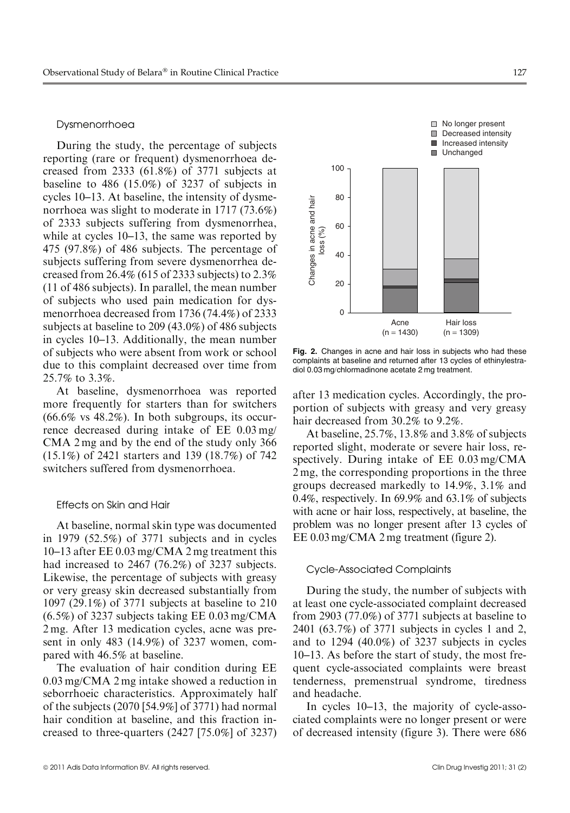# Dysmenorrhoea

During the study, the percentage of subjects reporting (rare or frequent) dysmenorrhoea decreased from 2333 (61.8%) of 3771 subjects at baseline to 486 (15.0%) of 3237 of subjects in cycles 10–13. At baseline, the intensity of dysmenorrhoea was slight to moderate in 1717 (73.6%) of 2333 subjects suffering from dysmenorrhea, while at cycles 10–13, the same was reported by 475 (97.8%) of 486 subjects. The percentage of subjects suffering from severe dysmenorrhea decreased from  $26.4\%$  (615 of 2333 subjects) to  $2.3\%$ (11 of 486 subjects). In parallel, the mean number of subjects who used pain medication for dysmenorrhoea decreased from 1736 (74.4%) of 2333 subjects at baseline to 209 (43.0%) of 486 subjects in cycles 10–13. Additionally, the mean number of subjects who were absent from work or school due to this complaint decreased over time from 25.7% to 3.3%.

At baseline, dysmenorrhoea was reported more frequently for starters than for switchers  $(66.6\% \text{ vs } 48.2\%)$ . In both subgroups, its occurrence decreased during intake of EE 0.03 mg/ CMA 2 mg and by the end of the study only 366 (15.1%) of 2421 starters and 139 (18.7%) of 742 switchers suffered from dysmenorrhoea.

# Effects on Skin and Hair

At baseline, normal skin type was documented in 1979 (52.5%) of 3771 subjects and in cycles 10–13 after EE 0.03 mg/CMA 2 mg treatment this had increased to 2467 (76.2%) of 3237 subjects. Likewise, the percentage of subjects with greasy or very greasy skin decreased substantially from 1097 (29.1%) of 3771 subjects at baseline to 210 (6.5%) of 3237 subjects taking EE 0.03 mg/CMA 2 mg. After 13 medication cycles, acne was present in only 483 (14.9%) of 3237 women, compared with 46.5% at baseline.

The evaluation of hair condition during EE 0.03 mg/CMA 2 mg intake showed a reduction in seborrhoeic characteristics. Approximately half of the subjects (2070 [54.9%] of 3771) had normal hair condition at baseline, and this fraction increased to three-quarters (2427 [75.0%] of 3237)





Fig. 2. Changes in acne and hair loss in subjects who had these complaints at baseline and returned after 13 cycles of ethinylestradiol 0.03 mg/chlormadinone acetate 2 mg treatment.

after 13 medication cycles. Accordingly, the proportion of subjects with greasy and very greasy hair decreased from 30.2% to 9.2%.

At baseline, 25.7%, 13.8% and 3.8% of subjects reported slight, moderate or severe hair loss, respectively. During intake of EE 0.03 mg/CMA 2 mg, the corresponding proportions in the three groups decreased markedly to 14.9%, 3.1% and 0.4%, respectively. In 69.9% and 63.1% of subjects with acne or hair loss, respectively, at baseline, the problem was no longer present after 13 cycles of EE 0.03 mg/CMA 2 mg treatment (figure 2).

#### Cycle-Associated Complaints

During the study, the number of subjects with at least one cycle-associated complaint decreased from 2903 (77.0%) of 3771 subjects at baseline to 2401 (63.7%) of 3771 subjects in cycles 1 and 2, and to 1294 (40.0%) of 3237 subjects in cycles 10–13. As before the start of study, the most frequent cycle-associated complaints were breast tenderness, premenstrual syndrome, tiredness and headache.

In cycles 10–13, the majority of cycle-associated complaints were no longer present or were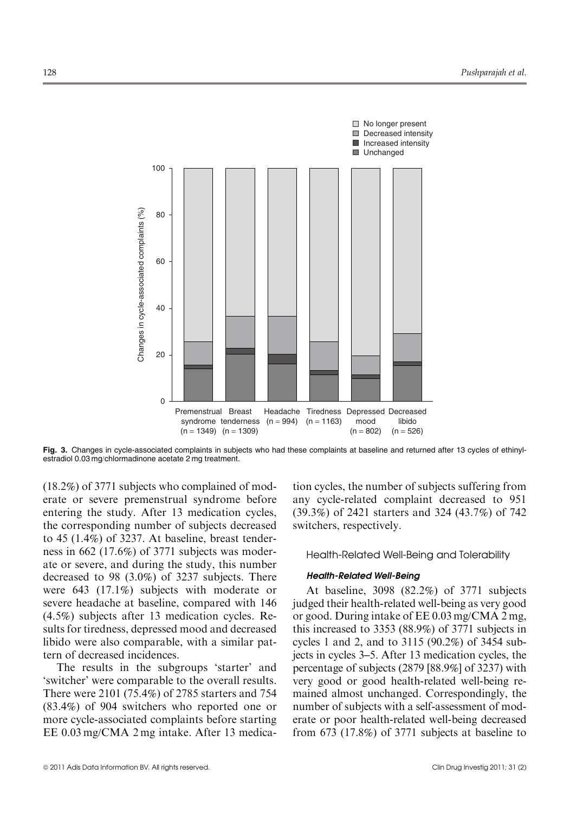

Fig. 3. Changes in cycle-associated complaints in subjects who had these complaints at baseline and returned after 13 cycles of ethinylestradiol 0.03 mg/chlormadinone acetate 2 mg treatment.

(18.2%) of 3771 subjects who complained of moderate or severe premenstrual syndrome before entering the study. After 13 medication cycles, the corresponding number of subjects decreased to 45 (1.4%) of 3237. At baseline, breast tenderness in 662 (17.6%) of 3771 subjects was moderate or severe, and during the study, this number decreased to 98 (3.0%) of 3237 subjects. There were 643 (17.1%) subjects with moderate or severe headache at baseline, compared with 146 (4.5%) subjects after 13 medication cycles. Results for tiredness, depressed mood and decreased libido were also comparable, with a similar pattern of decreased incidences.

The results in the subgroups 'starter' and 'switcher' were comparable to the overall results. There were 2101 (75.4%) of 2785 starters and 754 (83.4%) of 904 switchers who reported one or more cycle-associated complaints before starting EE 0.03 mg/CMA 2 mg intake. After 13 medication cycles, the number of subjects suffering from any cycle-related complaint decreased to 951 (39.3%) of 2421 starters and 324 (43.7%) of 742 switchers, respectively.

Health-Related Well-Being and Tolerability

# Health-Related Well-Being

At baseline, 3098 (82.2%) of 3771 subjects judged their health-related well-being as very good or good. During intake of EE 0.03 mg/CMA 2 mg, this increased to 3353 (88.9%) of 3771 subjects in cycles 1 and 2, and to 3115 (90.2%) of 3454 subjects in cycles 3–5. After 13 medication cycles, the percentage of subjects (2879 [88.9%] of 3237) with very good or good health-related well-being remained almost unchanged. Correspondingly, the number of subjects with a self-assessment of moderate or poor health-related well-being decreased from 673 (17.8%) of 3771 subjects at baseline to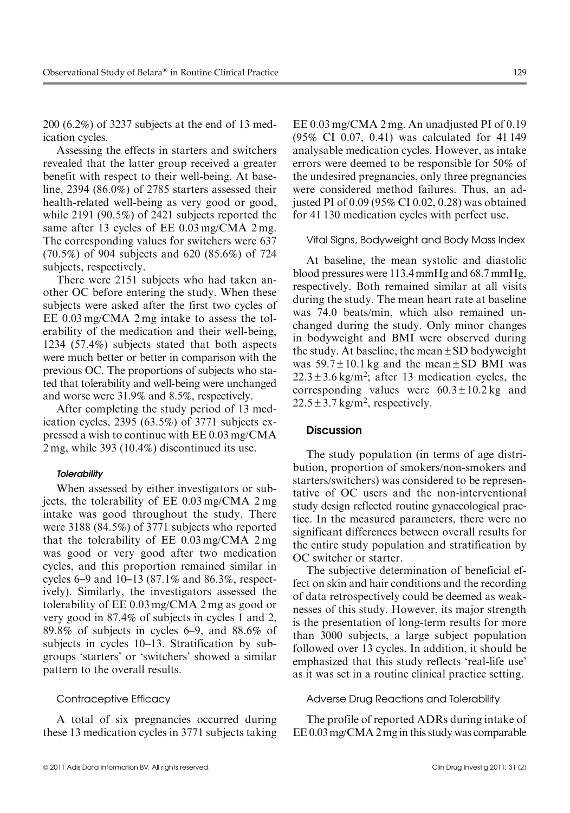200 (6.2%) of 3237 subjects at the end of 13 medication cycles.

Assessing the effects in starters and switchers revealed that the latter group received a greater benefit with respect to their well-being. At baseline, 2394 (86.0%) of 2785 starters assessed their health-related well-being as very good or good, while 2191 (90.5%) of 2421 subjects reported the same after 13 cycles of EE 0.03 mg/CMA 2 mg. The corresponding values for switchers were 637 (70.5%) of 904 subjects and 620 (85.6%) of 724 subjects, respectively.

There were 2151 subjects who had taken another OC before entering the study. When these subjects were asked after the first two cycles of EE 0.03 mg/CMA 2 mg intake to assess the tolerability of the medication and their well-being, 1234 (57.4%) subjects stated that both aspects were much better or better in comparison with the previous OC. The proportions of subjects who stated that tolerability and well-being were unchanged and worse were 31.9% and 8.5%, respectively.

After completing the study period of 13 medication cycles, 2395 (63.5%) of 3771 subjects expressed a wish to continue with EE 0.03 mg/CMA 2 mg, while 393 (10.4%) discontinued its use.

#### **Tolerability**

When assessed by either investigators or subjects, the tolerability of EE 0.03 mg/CMA 2 mg intake was good throughout the study. There were 3188 (84.5%) of 3771 subjects who reported that the tolerability of EE 0.03 mg/CMA 2 mg was good or very good after two medication cycles, and this proportion remained similar in cycles 6–9 and 10–13 (87.1% and 86.3%, respectively). Similarly, the investigators assessed the tolerability of EE 0.03 mg/CMA 2 mg as good or very good in 87.4% of subjects in cycles 1 and 2, 89.8% of subjects in cycles 6–9, and 88.6% of subjects in cycles 10–13. Stratification by subgroups 'starters' or 'switchers' showed a similar pattern to the overall results.

#### Contraceptive Efficacy

A total of six pregnancies occurred during these 13 medication cycles in 3771 subjects taking EE 0.03 mg/CMA 2 mg. An unadjusted PI of 0.19 (95% CI 0.07, 0.41) was calculated for 41 149 analysable medication cycles. However, as intake errors were deemed to be responsible for 50% of the undesired pregnancies, only three pregnancies were considered method failures. Thus, an adjusted PI of 0.09 (95% CI 0.02, 0.28) was obtained for 41 130 medication cycles with perfect use.

#### Vital Signs, Bodyweight and Body Mass Index

At baseline, the mean systolic and diastolic blood pressures were 113.4 mmHg and 68.7 mmHg, respectively. Both remained similar at all visits during the study. The mean heart rate at baseline was 74.0 beats/min, which also remained unchanged during the study. Only minor changes in bodyweight and BMI were observed during the study. At baseline, the mean  $\pm$  SD bodyweight was  $59.7 \pm 10.1$  kg and the mean  $\pm$  SD BMI was  $22.3 \pm 3.6$  kg/m<sup>2</sup>; after 13 medication cycles, the corresponding values were  $60.3 \pm 10.2$  kg and  $22.5 \pm 3.7$  kg/m<sup>2</sup>, respectively.

# **Discussion**

The study population (in terms of age distribution, proportion of smokers/non-smokers and starters/switchers) was considered to be representative of OC users and the non-interventional study design reflected routine gynaecological practice. In the measured parameters, there were no significant differences between overall results for the entire study population and stratification by OC switcher or starter.

The subjective determination of beneficial effect on skin and hair conditions and the recording of data retrospectively could be deemed as weaknesses of this study. However, its major strength is the presentation of long-term results for more than 3000 subjects, a large subject population followed over 13 cycles. In addition, it should be emphasized that this study reflects 'real-life use' as it was set in a routine clinical practice setting.

#### Adverse Drug Reactions and Tolerability

The profile of reported ADRs during intake of EE 0.03mg/CMA 2mg in this study was comparable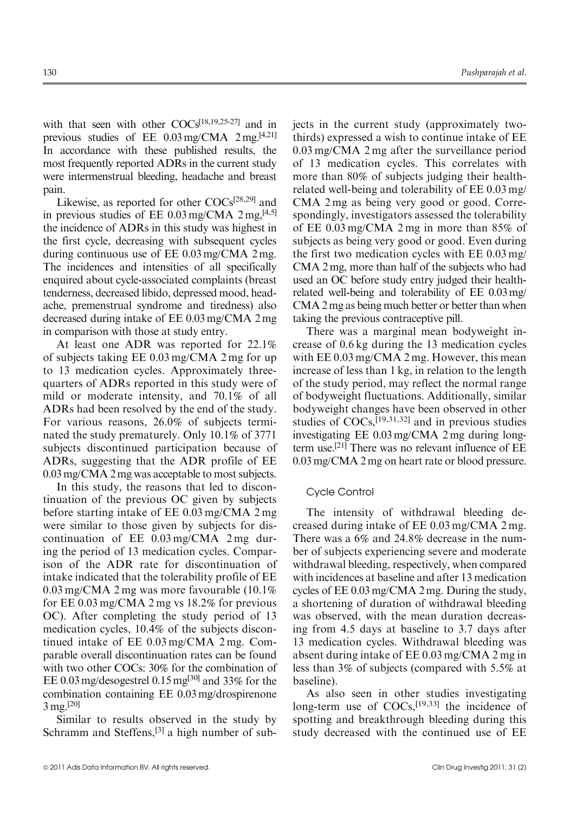with that seen with other COCs<sup>[18,19,25-27]</sup> and in previous studies of EE 0.03mg/CMA 2mg.[4,21] In accordance with these published results, the most frequently reported ADRs in the current study were intermenstrual bleeding, headache and breast pain.

Likewise, as reported for other  $COCs^{[28,29]}$  and in previous studies of EE  $0.03 \text{ mg/CMA}$  2 mg,  $[4.5]$ the incidence of ADRs in this study was highest in the first cycle, decreasing with subsequent cycles during continuous use of EE 0.03 mg/CMA 2 mg. The incidences and intensities of all specifically enquired about cycle-associated complaints (breast tenderness, decreased libido, depressed mood, headache, premenstrual syndrome and tiredness) also decreased during intake of EE 0.03 mg/CMA 2 mg in comparison with those at study entry.

At least one ADR was reported for 22.1% of subjects taking EE 0.03 mg/CMA 2 mg for up to 13 medication cycles. Approximately threequarters of ADRs reported in this study were of mild or moderate intensity, and 70.1% of all ADRs had been resolved by the end of the study. For various reasons, 26.0% of subjects terminated the study prematurely. Only 10.1% of 3771 subjects discontinued participation because of ADRs, suggesting that the ADR profile of EE 0.03 mg/CMA 2 mg was acceptable to most subjects.

In this study, the reasons that led to discontinuation of the previous OC given by subjects before starting intake of EE 0.03 mg/CMA 2 mg were similar to those given by subjects for discontinuation of EE 0.03 mg/CMA 2 mg during the period of 13 medication cycles. Comparison of the ADR rate for discontinuation of intake indicated that the tolerability profile of EE 0.03 mg/CMA 2 mg was more favourable (10.1% for EE 0.03 mg/CMA 2 mg vs 18.2% for previous OC). After completing the study period of 13 medication cycles, 10.4% of the subjects discontinued intake of EE 0.03 mg/CMA 2 mg. Comparable overall discontinuation rates can be found with two other COCs: 30% for the combination of EE 0.03 mg/desogestrel 0.15 mg[30] and 33% for the combination containing EE 0.03 mg/drospirenone 3 mg.[20]

Similar to results observed in the study by Schramm and Steffens,<sup>[3]</sup> a high number of subjects in the current study (approximately twothirds) expressed a wish to continue intake of EE 0.03 mg/CMA 2 mg after the surveillance period of 13 medication cycles. This correlates with more than 80% of subjects judging their healthrelated well-being and tolerability of EE 0.03 mg/ CMA 2 mg as being very good or good. Correspondingly, investigators assessed the tolerability of EE 0.03 mg/CMA 2 mg in more than 85% of subjects as being very good or good. Even during the first two medication cycles with EE 0.03 mg/ CMA 2 mg, more than half of the subjects who had used an OC before study entry judged their healthrelated well-being and tolerability of EE 0.03mg/ CMA 2 mg as being much better or better than when taking the previous contraceptive pill.

There was a marginal mean bodyweight increase of 0.6 kg during the 13 medication cycles with EE 0.03 mg/CMA 2 mg. However, this mean increase of less than 1 kg, in relation to the length of the study period, may reflect the normal range of bodyweight fluctuations. Additionally, similar bodyweight changes have been observed in other studies of  $COCs$ ,  $[19,31,32]$  and in previous studies investigating EE 0.03 mg/CMA 2 mg during longterm use.[21] There was no relevant influence of EE 0.03 mg/CMA 2 mg on heart rate or blood pressure.

# Cycle Control

The intensity of withdrawal bleeding decreased during intake of EE 0.03 mg/CMA 2 mg. There was a 6% and 24.8% decrease in the number of subjects experiencing severe and moderate withdrawal bleeding, respectively, when compared with incidences at baseline and after 13 medication cycles of EE 0.03 mg/CMA 2 mg. During the study, a shortening of duration of withdrawal bleeding was observed, with the mean duration decreasing from 4.5 days at baseline to 3.7 days after 13 medication cycles. Withdrawal bleeding was absent during intake of EE 0.03 mg/CMA 2 mg in less than 3% of subjects (compared with 5.5% at baseline).

As also seen in other studies investigating long-term use of COCs,<sup>[19,33]</sup> the incidence of spotting and breakthrough bleeding during this study decreased with the continued use of EE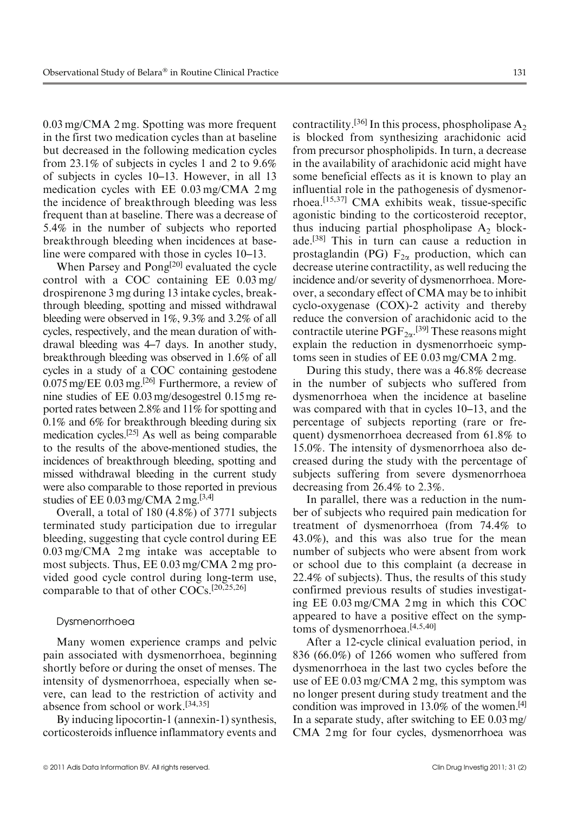0.03 mg/CMA 2 mg. Spotting was more frequent in the first two medication cycles than at baseline but decreased in the following medication cycles from 23.1% of subjects in cycles 1 and 2 to 9.6% of subjects in cycles 10–13. However, in all 13 medication cycles with EE 0.03 mg/CMA 2 mg the incidence of breakthrough bleeding was less frequent than at baseline. There was a decrease of 5.4% in the number of subjects who reported breakthrough bleeding when incidences at baseline were compared with those in cycles 10–13.

When Parsey and Pong<sup>[20]</sup> evaluated the cycle control with a COC containing EE 0.03 mg/ drospirenone 3 mg during 13 intake cycles, breakthrough bleeding, spotting and missed withdrawal bleeding were observed in 1%, 9.3% and 3.2% of all cycles, respectively, and the mean duration of withdrawal bleeding was 4–7 days. In another study, breakthrough bleeding was observed in 1.6% of all cycles in a study of a COC containing gestodene  $0.075$  mg/EE  $0.03$  mg.<sup>[26]</sup> Furthermore, a review of nine studies of EE 0.03 mg/desogestrel 0.15 mg reported rates between 2.8% and 11% for spotting and 0.1% and 6% for breakthrough bleeding during six medication cycles.[25] As well as being comparable to the results of the above-mentioned studies, the incidences of breakthrough bleeding, spotting and missed withdrawal bleeding in the current study were also comparable to those reported in previous studies of EE 0.03 mg/CMA 2 mg.<sup>[3,4]</sup>

Overall, a total of 180 (4.8%) of 3771 subjects terminated study participation due to irregular bleeding, suggesting that cycle control during EE 0.03 mg/CMA 2 mg intake was acceptable to most subjects. Thus, EE 0.03 mg/CMA 2 mg provided good cycle control during long-term use, comparable to that of other COCs.[20,25,26]

# Dysmenorrhoea

Many women experience cramps and pelvic pain associated with dysmenorrhoea, beginning shortly before or during the onset of menses. The intensity of dysmenorrhoea, especially when severe, can lead to the restriction of activity and absence from school or work.[34,35]

By inducing lipocortin-1 (annexin-1) synthesis, corticosteroids influence inflammatory events and contractility.<sup>[36]</sup> In this process, phospholipase  $A_2$ is blocked from synthesizing arachidonic acid from precursor phospholipids. In turn, a decrease in the availability of arachidonic acid might have some beneficial effects as it is known to play an influential role in the pathogenesis of dysmenorrhoea.[15,37] CMA exhibits weak, tissue-specific agonistic binding to the corticosteroid receptor, thus inducing partial phospholipase  $A_2$  blockade.[38] This in turn can cause a reduction in prostaglandin (PG)  $F_{2\alpha}$  production, which can decrease uterine contractility, as well reducing the incidence and/or severity of dysmenorrhoea. Moreover, a secondary effect of CMA may be to inhibit cyclo-oxygenase (COX)-2 activity and thereby reduce the conversion of arachidonic acid to the contractile uterine  $\mathrm{PGF}_{2\alpha}$ .<sup>[39]</sup> These reasons might explain the reduction in dysmenorrhoeic symptoms seen in studies of EE 0.03 mg/CMA 2 mg.

During this study, there was a 46.8% decrease in the number of subjects who suffered from dysmenorrhoea when the incidence at baseline was compared with that in cycles 10–13, and the percentage of subjects reporting (rare or frequent) dysmenorrhoea decreased from 61.8% to 15.0%. The intensity of dysmenorrhoea also decreased during the study with the percentage of subjects suffering from severe dysmenorrhoea decreasing from 26.4% to 2.3%.

In parallel, there was a reduction in the number of subjects who required pain medication for treatment of dysmenorrhoea (from 74.4% to 43.0%), and this was also true for the mean number of subjects who were absent from work or school due to this complaint (a decrease in 22.4% of subjects). Thus, the results of this study confirmed previous results of studies investigating EE 0.03 mg/CMA 2 mg in which this COC appeared to have a positive effect on the symptoms of dysmenorrhoea.[4,5,40]

After a 12-cycle clinical evaluation period, in 836 (66.0%) of 1266 women who suffered from dysmenorrhoea in the last two cycles before the use of EE 0.03 mg/CMA 2 mg, this symptom was no longer present during study treatment and the condition was improved in  $13.0\%$  of the women.<sup>[4]</sup> In a separate study, after switching to EE 0.03 mg/ CMA 2 mg for four cycles, dysmenorrhoea was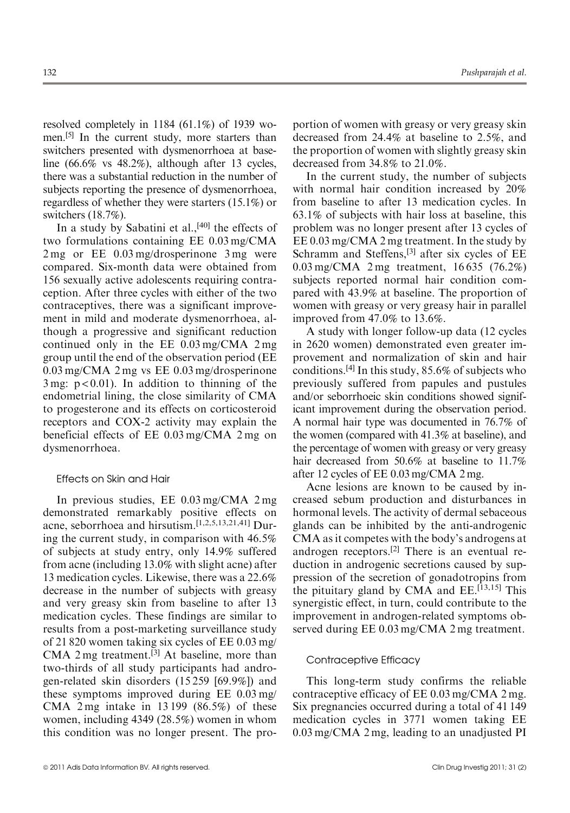resolved completely in 1184 (61.1%) of 1939 women.<sup>[5]</sup> In the current study, more starters than switchers presented with dysmenorrhoea at baseline (66.6% vs 48.2%), although after 13 cycles, there was a substantial reduction in the number of subjects reporting the presence of dysmenorrhoea, regardless of whether they were starters (15.1%) or switchers (18.7%).

In a study by Sabatini et al., $[40]$  the effects of two formulations containing EE 0.03 mg/CMA 2 mg or EE 0.03 mg/drosperinone 3 mg were compared. Six-month data were obtained from 156 sexually active adolescents requiring contraception. After three cycles with either of the two contraceptives, there was a significant improvement in mild and moderate dysmenorrhoea, although a progressive and significant reduction continued only in the EE 0.03 mg/CMA 2 mg group until the end of the observation period (EE 0.03 mg/CMA 2 mg vs EE 0.03 mg/drosperinone  $3 \text{ mg}$ :  $p < 0.01$ ). In addition to thinning of the endometrial lining, the close similarity of CMA to progesterone and its effects on corticosteroid receptors and COX-2 activity may explain the beneficial effects of EE 0.03 mg/CMA 2 mg on dysmenorrhoea.

# Effects on Skin and Hair

In previous studies, EE 0.03 mg/CMA 2 mg demonstrated remarkably positive effects on acne, seborrhoea and hirsutism.[1,2,5,13,21,41] During the current study, in comparison with 46.5% of subjects at study entry, only 14.9% suffered from acne (including 13.0% with slight acne) after 13 medication cycles. Likewise, there was a 22.6% decrease in the number of subjects with greasy and very greasy skin from baseline to after 13 medication cycles. These findings are similar to results from a post-marketing surveillance study of 21 820 women taking six cycles of EE 0.03 mg/ CMA 2 mg treatment.<sup>[3]</sup> At baseline, more than two-thirds of all study participants had androgen-related skin disorders (15 259 [69.9%]) and these symptoms improved during EE 0.03 mg/ CMA 2 mg intake in 13 199 (86.5%) of these women, including 4349 (28.5%) women in whom this condition was no longer present. The proportion of women with greasy or very greasy skin decreased from 24.4% at baseline to 2.5%, and the proportion of women with slightly greasy skin decreased from 34.8% to 21.0%.

In the current study, the number of subjects with normal hair condition increased by 20% from baseline to after 13 medication cycles. In 63.1% of subjects with hair loss at baseline, this problem was no longer present after 13 cycles of EE 0.03 mg/CMA 2 mg treatment. In the study by Schramm and Steffens,<sup>[3]</sup> after six cycles of EE 0.03 mg/CMA 2 mg treatment, 16 635 (76.2%) subjects reported normal hair condition compared with 43.9% at baseline. The proportion of women with greasy or very greasy hair in parallel improved from 47.0% to 13.6%.

A study with longer follow-up data (12 cycles in 2620 women) demonstrated even greater improvement and normalization of skin and hair conditions.<sup>[4]</sup> In this study,  $85.6\%$  of subjects who previously suffered from papules and pustules and/or seborrhoeic skin conditions showed significant improvement during the observation period. A normal hair type was documented in 76.7% of the women (compared with 41.3% at baseline), and the percentage of women with greasy or very greasy hair decreased from 50.6% at baseline to 11.7% after 12 cycles of EE 0.03 mg/CMA 2 mg.

Acne lesions are known to be caused by increased sebum production and disturbances in hormonal levels. The activity of dermal sebaceous glands can be inhibited by the anti-androgenic CMA as it competes with the body's androgens at androgen receptors.[2] There is an eventual reduction in androgenic secretions caused by suppression of the secretion of gonadotropins from the pituitary gland by CMA and EE.<sup>[13,15]</sup> This synergistic effect, in turn, could contribute to the improvement in androgen-related symptoms observed during EE 0.03 mg/CMA 2 mg treatment.

#### Contraceptive Efficacy

This long-term study confirms the reliable contraceptive efficacy of EE 0.03 mg/CMA 2 mg. Six pregnancies occurred during a total of 41 149 medication cycles in 3771 women taking EE 0.03 mg/CMA 2 mg, leading to an unadjusted PI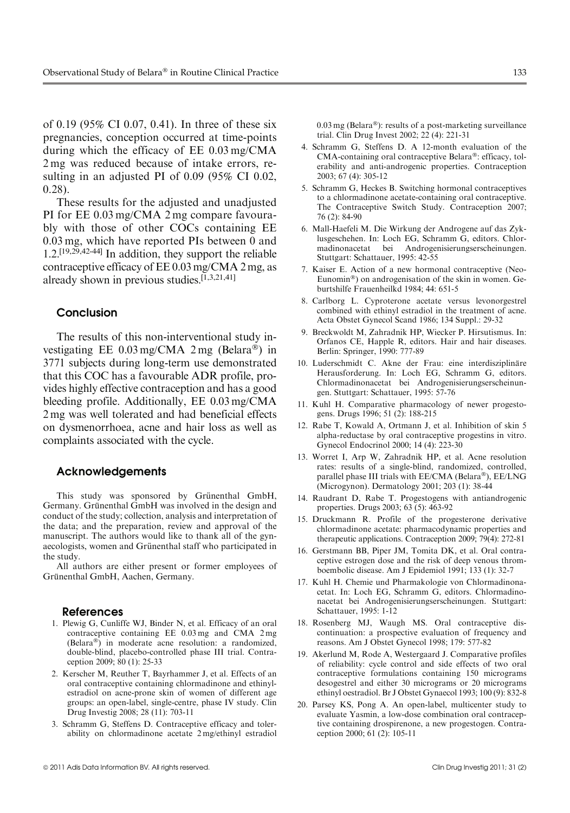of 0.19 (95% CI 0.07, 0.41). In three of these six pregnancies, conception occurred at time-points during which the efficacy of EE 0.03 mg/CMA 2 mg was reduced because of intake errors, resulting in an adjusted PI of 0.09 (95% CI 0.02, 0.28).

These results for the adjusted and unadjusted PI for EE 0.03 mg/CMA 2 mg compare favourably with those of other COCs containing EE 0.03 mg, which have reported PIs between 0 and 1.2.[19,29,42-44] In addition, they support the reliable contraceptive efficacy of EE 0.03 mg/CMA 2 mg, as already shown in previous studies.[1,3,21,41]

# Conclusion

The results of this non-interventional study investigating EE  $0.03 \text{ mg/CMA}$  2 mg (Belara®) in 3771 subjects during long-term use demonstrated that this COC has a favourable ADR profile, provides highly effective contraception and has a good bleeding profile. Additionally, EE 0.03 mg/CMA 2 mg was well tolerated and had beneficial effects on dysmenorrhoea, acne and hair loss as well as complaints associated with the cycle.

# Acknowledgements

This study was sponsored by Grünenthal GmbH, Germany. Grünenthal GmbH was involved in the design and conduct of the study; collection, analysis and interpretation of the data; and the preparation, review and approval of the manuscript. The authors would like to thank all of the gynaecologists, women and Grünenthal staff who participated in the study.

All authors are either present or former employees of Grünenthal GmbH, Aachen, Germany.

#### References

- 1. Plewig G, Cunliffe WJ, Binder N, et al. Efficacy of an oral contraceptive containing EE 0.03 mg and CMA 2 mg (Belara-) in moderate acne resolution: a randomized, double-blind, placebo-controlled phase III trial. Contraception 2009; 80 (1): 25-33
- 2. Kerscher M, Reuther T, Bayrhammer J, et al. Effects of an oral contraceptive containing chlormadinone and ethinylestradiol on acne-prone skin of women of different age groups: an open-label, single-centre, phase IV study. Clin Drug Investig 2008; 28 (11): 703-11
- 3. Schramm G, Steffens D. Contraceptive efficacy and tolerability on chlormadinone acetate 2 mg/ethinyl estradiol

0.03 mg (Belara®): results of a post-marketing surveillance trial. Clin Drug Invest 2002; 22 (4): 221-31

- 4. Schramm G, Steffens D. A 12-month evaluation of the CMA-containing oral contraceptive Belara®: efficacy, tolerability and anti-androgenic properties. Contraception 2003; 67 (4): 305-12
- 5. Schramm G, Heckes B. Switching hormonal contraceptives to a chlormadinone acetate-containing oral contraceptive. The Contraceptive Switch Study. Contraception 2007; 76 (2): 84-90
- 6. Mall-Haefeli M. Die Wirkung der Androgene auf das Zyklusgeschehen. In: Loch EG, Schramm G, editors. Chlormadinonacetat bei Androgenisierungserscheinungen. Stuttgart: Schattauer, 1995: 42-55
- 7. Kaiser E. Action of a new hormonal contraceptive (Neo-Eunomin®) on androgenisation of the skin in women. Geburtshilfe Frauenheilkd 1984; 44: 651-5
- 8. Carlborg L. Cyproterone acetate versus levonorgestrel combined with ethinyl estradiol in the treatment of acne. Acta Obstet Gynecol Scand 1986; 134 Suppl.: 29-32
- 9. Breckwoldt M, Zahradnik HP, Wiecker P. Hirsutismus. In: Orfanos CE, Happle R, editors. Hair and hair diseases. Berlin: Springer, 1990: 777-89
- 10. Luderschmidt C. Akne der Frau: eine interdisziplinäre Herausforderung. In: Loch EG, Schramm G, editors. Chlormadinonacetat bei Androgenisierungserscheinungen. Stuttgart: Schattauer, 1995: 57-76
- 11. Kuhl H. Comparative pharmacology of newer progestogens. Drugs 1996; 51 (2): 188-215
- 12. Rabe T, Kowald A, Ortmann J, et al. Inhibition of skin 5 alpha-reductase by oral contraceptive progestins in vitro. Gynecol Endocrinol 2000; 14 (4): 223-30
- 13. Worret I, Arp W, Zahradnik HP, et al. Acne resolution rates: results of a single-blind, randomized, controlled, parallel phase III trials with EE/CMA (Belara®), EE/LNG (Microgynon). Dermatology 2001; 203 (1): 38-44
- 14. Raudrant D, Rabe T. Progestogens with antiandrogenic properties. Drugs 2003; 63 (5): 463-92
- 15. Druckmann R. Profile of the progesterone derivative chlormadinone acetate: pharmacodynamic properties and therapeutic applications. Contraception 2009; 79(4): 272-81
- 16. Gerstmann BB, Piper JM, Tomita DK, et al. Oral contraceptive estrogen dose and the risk of deep venous thromboembolic disease. Am J Epidemiol 1991; 133 (1): 32-7
- 17. Kuhl H. Chemie und Pharmakologie von Chlormadinonacetat. In: Loch EG, Schramm G, editors. Chlormadinonacetat bei Androgenisierungserscheinungen. Stuttgart: Schattauer, 1995: 1-12
- 18. Rosenberg MJ, Waugh MS. Oral contraceptive discontinuation: a prospective evaluation of frequency and reasons. Am J Obstet Gynecol 1998; 179: 577-82
- 19. Akerlund M, Rode A, Westergaard J. Comparative profiles of reliability: cycle control and side effects of two oral contraceptive formulations containing 150 micrograms desogestrel and either 30 micrograms or 20 micrograms ethinyl oestradiol. Br J Obstet Gynaecol 1993; 100 (9): 832-8
- 20. Parsey KS, Pong A. An open-label, multicenter study to evaluate Yasmin, a low-dose combination oral contraceptive containing drospirenone, a new progestogen. Contraception 2000; 61 (2): 105-11